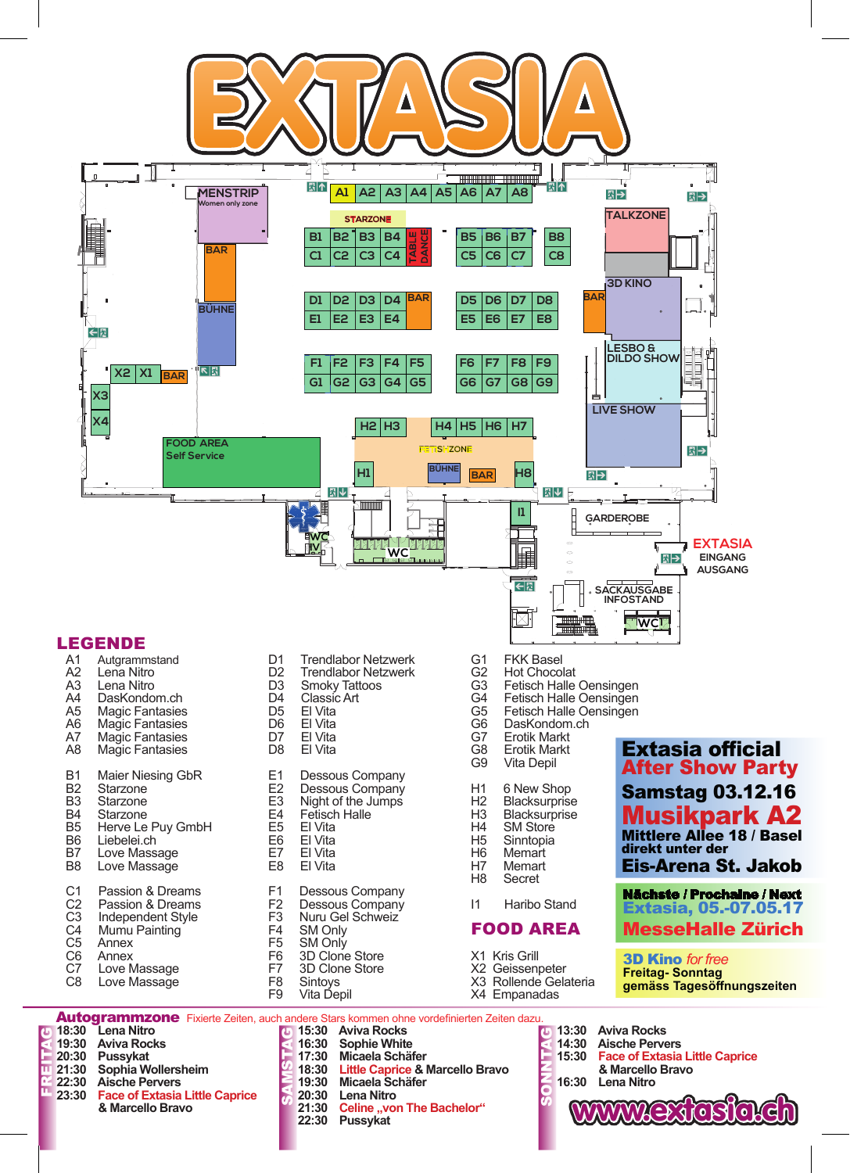